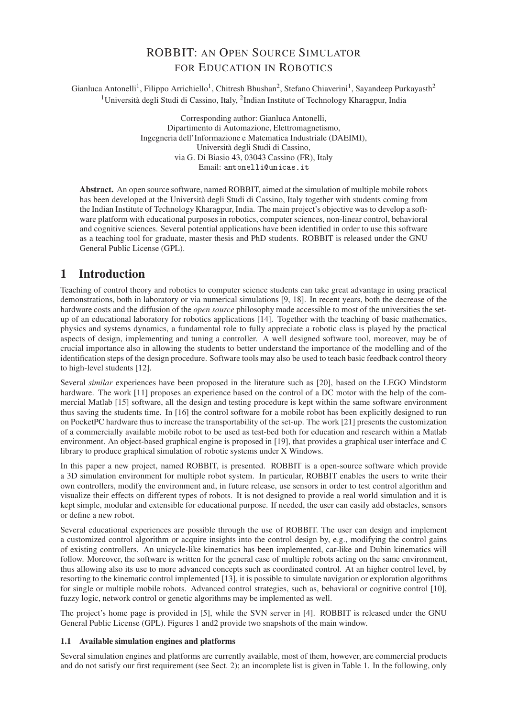# ROBBIT: AN OPEN SOURCE SIMULATOR FOR EDUCATION IN ROBOTICS

Gianluca Antonelli<sup>1</sup>, Filippo Arrichiello<sup>1</sup>, Chitresh Bhushan<sup>2</sup>, Stefano Chiaverini<sup>1</sup>, Sayandeep Purkayasth<sup>2</sup> <sup>1</sup>Università degli Studi di Cassino, Italy, <sup>2</sup>Indian Institute of Technology Kharagpur, India

> Corresponding author: Gianluca Antonelli, Dipartimento di Automazione, Elettromagnetismo, Ingegneria dell'Informazione e Matematica Industriale (DAEIMI), Università degli Studi di Cassino, via G. Di Biasio 43, 03043 Cassino (FR), Italy Email: antonelli@unicas.it

**Abstract.** An open source software, named ROBBIT, aimed at the simulation of multiple mobile robots has been developed at the Università degli Studi di Cassino, Italy together with students coming from the Indian Institute of Technology Kharagpur, India. The main project's objective was to develop a software platform with educational purposes in robotics, computer sciences, non-linear control, behavioral and cognitive sciences. Several potential applications have been identified in order to use this software as a teaching tool for graduate, master thesis and PhD students. ROBBIT is released under the GNU General Public License (GPL).

# **1 Introduction**

Teaching of control theory and robotics to computer science students can take great advantage in using practical demonstrations, both in laboratory or via numerical simulations [9, 18]. In recent years, both the decrease of the hardware costs and the diffusion of the *open source* philosophy made accessible to most of the universities the setup of an educational laboratory for robotics applications [14]. Together with the teaching of basic mathematics, physics and systems dynamics, a fundamental role to fully appreciate a robotic class is played by the practical aspects of design, implementing and tuning a controller. A well designed software tool, moreover, may be of crucial importance also in allowing the students to better understand the importance of the modelling and of the identification steps of the design procedure. Software tools may also be used to teach basic feedback control theory to high-level students [12].

Several *similar* experiences have been proposed in the literature such as [20], based on the LEGO Mindstorm hardware. The work [11] proposes an experience based on the control of a DC motor with the help of the commercial Matlab [15] software, all the design and testing procedure is kept within the same software environment thus saving the students time. In [16] the control software for a mobile robot has been explicitly designed to run on PocketPC hardware thus to increase the transportability of the set-up. The work [21] presents the customization of a commercially available mobile robot to be used as test-bed both for education and research within a Matlab environment. An object-based graphical engine is proposed in [19], that provides a graphical user interface and C library to produce graphical simulation of robotic systems under X Windows.

In this paper a new project, named ROBBIT, is presented. ROBBIT is a open-source software which provide a 3D simulation environment for multiple robot system. In particular, ROBBIT enables the users to write their own controllers, modify the environment and, in future release, use sensors in order to test control algorithm and visualize their effects on different types of robots. It is not designed to provide a real world simulation and it is kept simple, modular and extensible for educational purpose. If needed, the user can easily add obstacles, sensors or define a new robot.

Several educational experiences are possible through the use of ROBBIT. The user can design and implement a customized control algorithm or acquire insights into the control design by, e.g., modifying the control gains of existing controllers. An unicycle-like kinematics has been implemented, car-like and Dubin kinematics will follow. Moreover, the software is written for the general case of multiple robots acting on the same environment, thus allowing also its use to more advanced concepts such as coordinated control. At an higher control level, by resorting to the kinematic control implemented [13], it is possible to simulate navigation or exploration algorithms for single or multiple mobile robots. Advanced control strategies, such as, behavioral or cognitive control [10], fuzzy logic, network control or genetic algorithms may be implemented as well.

The project's home page is provided in [5], while the SVN server in [4]. ROBBIT is released under the GNU General Public License (GPL). Figures 1 and2 provide two snapshots of the main window.

#### **1.1 Available simulation engines and platforms**

Several simulation engines and platforms are currently available, most of them, however, are commercial products and do not satisfy our first requirement (see Sect. 2); an incomplete list is given in Table 1. In the following, only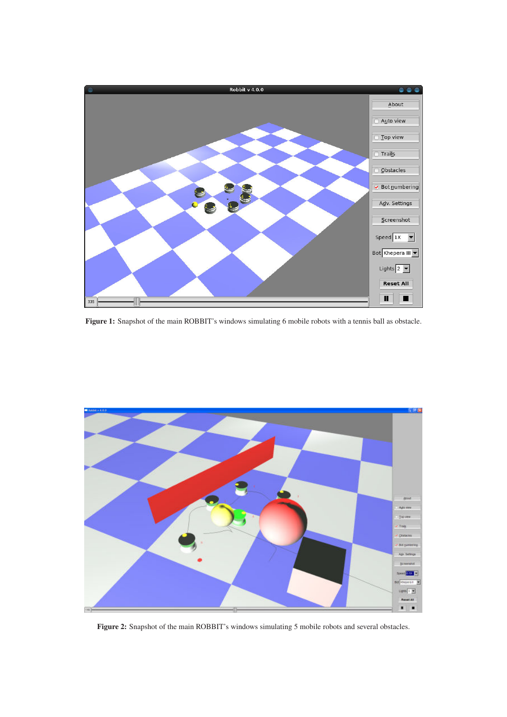

**Figure 1:** Snapshot of the main ROBBIT's windows simulating 6 mobile robots with a tennis ball as obstacle.



**Figure 2:** Snapshot of the main ROBBIT's windows simulating 5 mobile robots and several obstacles.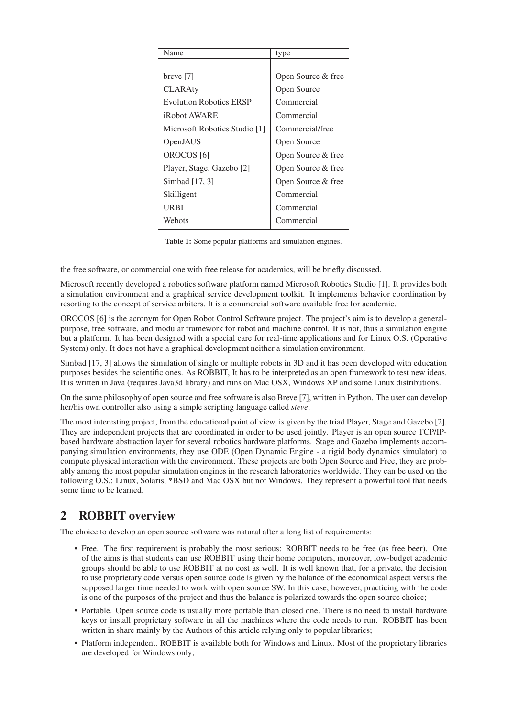| Name                           | type               |
|--------------------------------|--------------------|
|                                |                    |
| breve [7]                      | Open Source & free |
| <b>CLARAty</b>                 | Open Source        |
| <b>Evolution Robotics ERSP</b> | Commercial         |
| <i><b>iRobot AWARE</b></i>     | Commercial         |
| Microsoft Robotics Studio [1]  | Commercial/free    |
| OpenJAUS                       | Open Source        |
| OROCOS <sup>[6]</sup>          | Open Source & free |
| Player, Stage, Gazebo [2]      | Open Source & free |
| Simbad [17, 3]                 | Open Source & free |
| Skilligent                     | Commercial         |
| URBI                           | Commercial         |
| Webots                         | Commercial         |

**Table 1:** Some popular platforms and simulation engines.

the free software, or commercial one with free release for academics, will be briefly discussed.

Microsoft recently developed a robotics software platform named Microsoft Robotics Studio [1]. It provides both a simulation environment and a graphical service development toolkit. It implements behavior coordination by resorting to the concept of service arbiters. It is a commercial software available free for academic.

OROCOS [6] is the acronym for Open Robot Control Software project. The project's aim is to develop a generalpurpose, free software, and modular framework for robot and machine control. It is not, thus a simulation engine but a platform. It has been designed with a special care for real-time applications and for Linux O.S. (Operative System) only. It does not have a graphical development neither a simulation environment.

Simbad [17, 3] allows the simulation of single or multiple robots in 3D and it has been developed with education purposes besides the scientific ones. As ROBBIT, It has to be interpreted as an open framework to test new ideas. It is written in Java (requires Java3d library) and runs on Mac OSX, Windows XP and some Linux distributions.

On the same philosophy of open source and free software is also Breve [7], written in Python. The user can develop her/his own controller also using a simple scripting language called *steve*.

The most interesting project, from the educational point of view, is given by the triad Player, Stage and Gazebo [2]. They are independent projects that are coordinated in order to be used jointly. Player is an open source TCP/IPbased hardware abstraction layer for several robotics hardware platforms. Stage and Gazebo implements accompanying simulation environments, they use ODE (Open Dynamic Engine - a rigid body dynamics simulator) to compute physical interaction with the environment. These projects are both Open Source and Free, they are probably among the most popular simulation engines in the research laboratories worldwide. They can be used on the following O.S.: Linux, Solaris, \*BSD and Mac OSX but not Windows. They represent a powerful tool that needs some time to be learned.

### **2 ROBBIT overview**

The choice to develop an open source software was natural after a long list of requirements:

- Free. The first requirement is probably the most serious: ROBBIT needs to be free (as free beer). One of the aims is that students can use ROBBIT using their home computers, moreover, low-budget academic groups should be able to use ROBBIT at no cost as well. It is well known that, for a private, the decision to use proprietary code versus open source code is given by the balance of the economical aspect versus the supposed larger time needed to work with open source SW. In this case, however, practicing with the code is one of the purposes of the project and thus the balance is polarized towards the open source choice;
- Portable. Open source code is usually more portable than closed one. There is no need to install hardware keys or install proprietary software in all the machines where the code needs to run. ROBBIT has been written in share mainly by the Authors of this article relying only to popular libraries;
- Platform independent. ROBBIT is available both for Windows and Linux. Most of the proprietary libraries are developed for Windows only;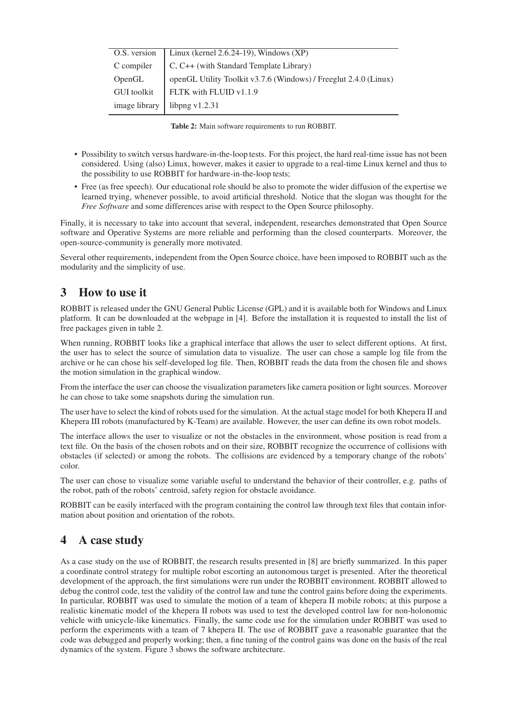| O.S. version       | Linux (kernel $2.6.24-19$ ), Windows (XP)                        |
|--------------------|------------------------------------------------------------------|
| C compiler         | C, C++ (with Standard Template Library)                          |
| OpenGL             | openGL Utility Toolkit v3.7.6 (Windows) / Freeglut 2.4.0 (Linux) |
| <b>GUI</b> toolkit | FLTK with FLUID v1.1.9                                           |
| image library      | libpng $v1.2.31$                                                 |

**Table 2:** Main software requirements to run ROBBIT.

- Possibility to switch versus hardware-in-the-loop tests. For this project, the hard real-time issue has not been considered. Using (also) Linux, however, makes it easier to upgrade to a real-time Linux kernel and thus to the possibility to use ROBBIT for hardware-in-the-loop tests;
- Free (as free speech). Our educational role should be also to promote the wider diffusion of the expertise we learned trying, whenever possible, to avoid artificial threshold. Notice that the slogan was thought for the *Free Software* and some differences arise with respect to the Open Source philosophy.

Finally, it is necessary to take into account that several, independent, researches demonstrated that Open Source software and Operative Systems are more reliable and performing than the closed counterparts. Moreover, the open-source-community is generally more motivated.

Several other requirements, independent from the Open Source choice, have been imposed to ROBBIT such as the modularity and the simplicity of use.

# **3 How to use it**

ROBBIT is released under the GNU General Public License (GPL) and it is available both for Windows and Linux platform. It can be downloaded at the webpage in [4]. Before the installation it is requested to install the list of free packages given in table 2.

When running, ROBBIT looks like a graphical interface that allows the user to select different options. At first, the user has to select the source of simulation data to visualize. The user can chose a sample log file from the archive or he can chose his self-developed log file. Then, ROBBIT reads the data from the chosen file and shows the motion simulation in the graphical window.

From the interface the user can choose the visualization parameters like camera position or light sources. Moreover he can chose to take some snapshots during the simulation run.

The user have to select the kind of robots used for the simulation. At the actual stage model for both Khepera II and Khepera III robots (manufactured by K-Team) are available. However, the user can define its own robot models.

The interface allows the user to visualize or not the obstacles in the environment, whose position is read from a text file. On the basis of the chosen robots and on their size, ROBBIT recognize the occurrence of collisions with obstacles (if selected) or among the robots. The collisions are evidenced by a temporary change of the robots' color.

The user can chose to visualize some variable useful to understand the behavior of their controller, e.g. paths of the robot, path of the robots' centroid, safety region for obstacle avoidance.

ROBBIT can be easily interfaced with the program containing the control law through text files that contain information about position and orientation of the robots.

### **4 A case study**

As a case study on the use of ROBBIT, the research results presented in [8] are briefly summarized. In this paper a coordinate control strategy for multiple robot escorting an autonomous target is presented. After the theoretical development of the approach, the first simulations were run under the ROBBIT environment. ROBBIT allowed to debug the control code, test the validity of the control law and tune the control gains before doing the experiments. In particular, ROBBIT was used to simulate the motion of a team of khepera II mobile robots; at this purpose a realistic kinematic model of the khepera II robots was used to test the developed control law for non-holonomic vehicle with unicycle-like kinematics. Finally, the same code use for the simulation under ROBBIT was used to perform the experiments with a team of 7 khepera II. The use of ROBBIT gave a reasonable guarantee that the code was debugged and properly working; then, a fine tuning of the control gains was done on the basis of the real dynamics of the system. Figure 3 shows the software architecture.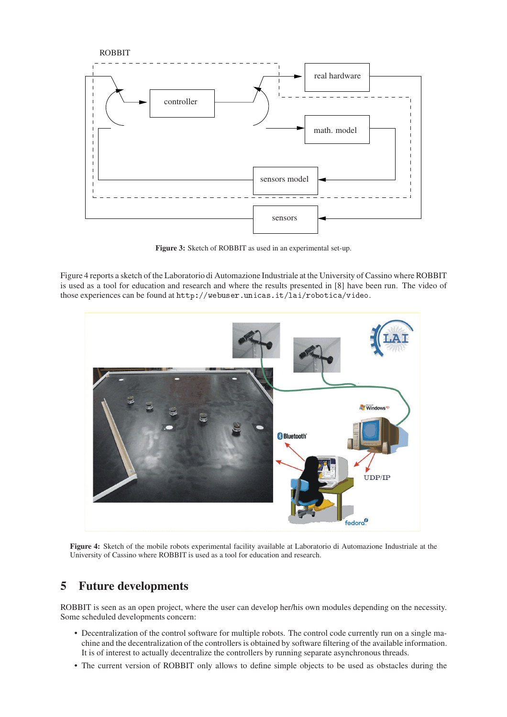

**Figure 3:** Sketch of ROBBIT as used in an experimental set-up.

Figure 4 reports a sketch of the Laboratorio di Automazione Industriale at the University of Cassino where ROBBIT is used as a tool for education and research and where the results presented in [8] have been run. The video of those experiences can be found at http://webuser.unicas.it/lai/robotica/video.



**Figure 4:** Sketch of the mobile robots experimental facility available at Laboratorio di Automazione Industriale at the University of Cassino where ROBBIT is used as a tool for education and research.

### **5 Future developments**

ROBBIT is seen as an open project, where the user can develop her/his own modules depending on the necessity. Some scheduled developments concern:

- Decentralization of the control software for multiple robots. The control code currently run on a single machine and the decentralization of the controllers is obtained by software filtering of the available information. It is of interest to actually decentralize the controllers by running separate asynchronous threads.
- The current version of ROBBIT only allows to define simple objects to be used as obstacles during the